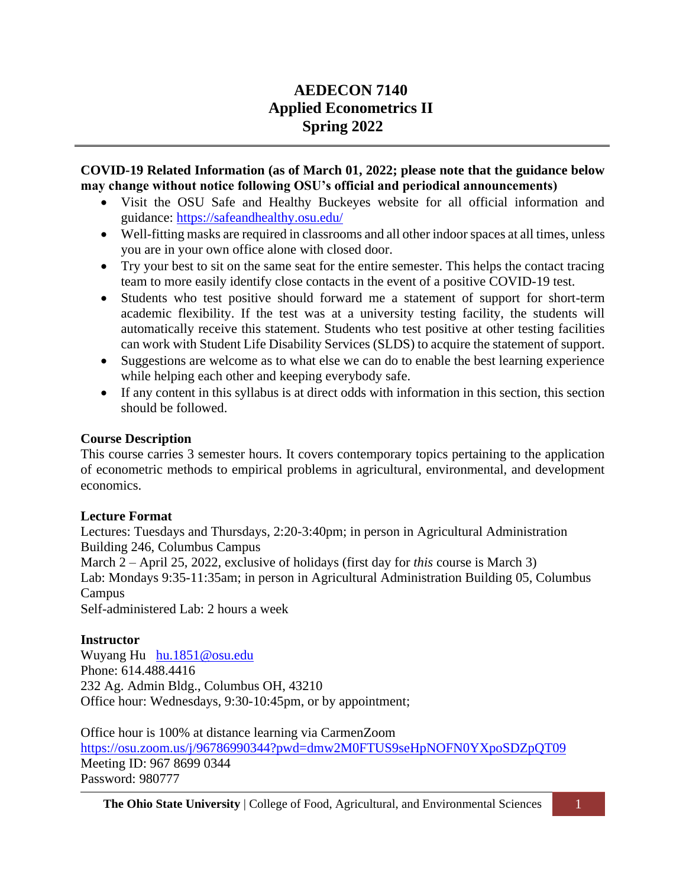# **AEDECON 7140 Applied Econometrics II Spring 2022**

### **COVID-19 Related Information (as of March 01, 2022; please note that the guidance below may change without notice following OSU's official and periodical announcements)**

- Visit the OSU Safe and Healthy Buckeyes website for all official information and guidance:<https://safeandhealthy.osu.edu/>
- Well-fitting masks are required in classrooms and all other indoor spaces at all times, unless you are in your own office alone with closed door.
- Try your best to sit on the same seat for the entire semester. This helps the contact tracing team to more easily identify close contacts in the event of a positive COVID-19 test.
- Students who test positive should forward me a statement of support for short-term academic flexibility. If the test was at a university testing facility, the students will automatically receive this statement. Students who test positive at other testing facilities can work with Student Life Disability Services (SLDS) to acquire the statement of support.
- Suggestions are welcome as to what else we can do to enable the best learning experience while helping each other and keeping everybody safe.
- If any content in this syllabus is at direct odds with information in this section, this section should be followed.

# **Course Description**

This course carries 3 semester hours. It covers contemporary topics pertaining to the application of econometric methods to empirical problems in agricultural, environmental, and development economics.

#### **Lecture Format**

Lectures: Tuesdays and Thursdays, 2:20-3:40pm; in person in Agricultural Administration Building 246, Columbus Campus March 2 – April 25, 2022, exclusive of holidays (first day for *this* course is March 3) Lab: Mondays 9:35-11:35am; in person in Agricultural Administration Building 05, Columbus Campus Self-administered Lab: 2 hours a week

#### **Instructor**

Wuyang Hu [hu.1851@osu.edu](mailto:hu.1851@osu.edu) Phone: 614.488.4416 232 Ag. Admin Bldg., Columbus OH, 43210 Office hour: Wednesdays, 9:30-10:45pm, or by appointment;

Office hour is 100% at distance learning via CarmenZoom https://osu.zoom.us/j/96786990344?pwd=dmw2M0FTUS9seHpNOFN0YXpoSDZpQT09 Meeting ID: 967 8699 0344 Password: 980777

**The Ohio State University** | College of Food, Agricultural, and Environmental Sciences 1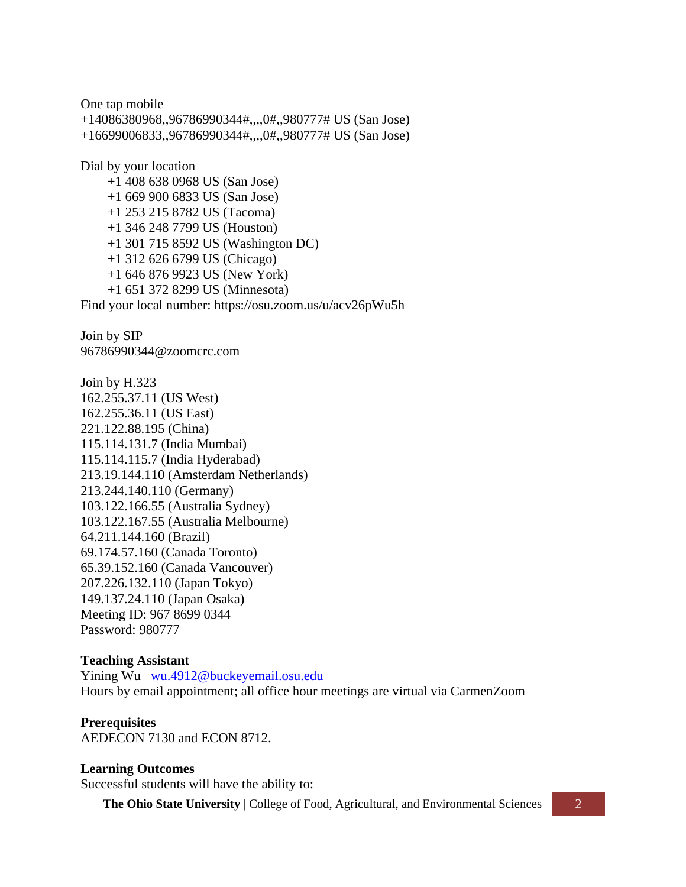One tap mobile +14086380968,,96786990344#,,,,0#,,980777# US (San Jose) +16699006833,,96786990344#,,,,0#,,980777# US (San Jose) Dial by your location +1 408 638 0968 US (San Jose) +1 669 900 6833 US (San Jose) +1 253 215 8782 US (Tacoma) +1 346 248 7799 US (Houston) +1 301 715 8592 US (Washington DC)

+1 312 626 6799 US (Chicago)

+1 646 876 9923 US (New York)

+1 651 372 8299 US (Minnesota)

Find your local number: https://osu.zoom.us/u/acv26pWu5h

Join by SIP 96786990344@zoomcrc.com

Join by H.323 162.255.37.11 (US West) 162.255.36.11 (US East) 221.122.88.195 (China) 115.114.131.7 (India Mumbai) 115.114.115.7 (India Hyderabad) 213.19.144.110 (Amsterdam Netherlands) 213.244.140.110 (Germany) 103.122.166.55 (Australia Sydney) 103.122.167.55 (Australia Melbourne) 64.211.144.160 (Brazil) 69.174.57.160 (Canada Toronto) 65.39.152.160 (Canada Vancouver) 207.226.132.110 (Japan Tokyo) 149.137.24.110 (Japan Osaka) Meeting ID: 967 8699 0344 Password: 980777

#### **Teaching Assistant**

Yining Wu [wu.4912@buckeyemail.osu.edu](mailto:wu.4912@buckeyemail.osu.edu) Hours by email appointment; all office hour meetings are virtual via CarmenZoom

#### **Prerequisites**

AEDECON 7130 and ECON 8712.

**Learning Outcomes** Successful students will have the ability to:

**The Ohio State University** | College of Food, Agricultural, and Environmental Sciences 2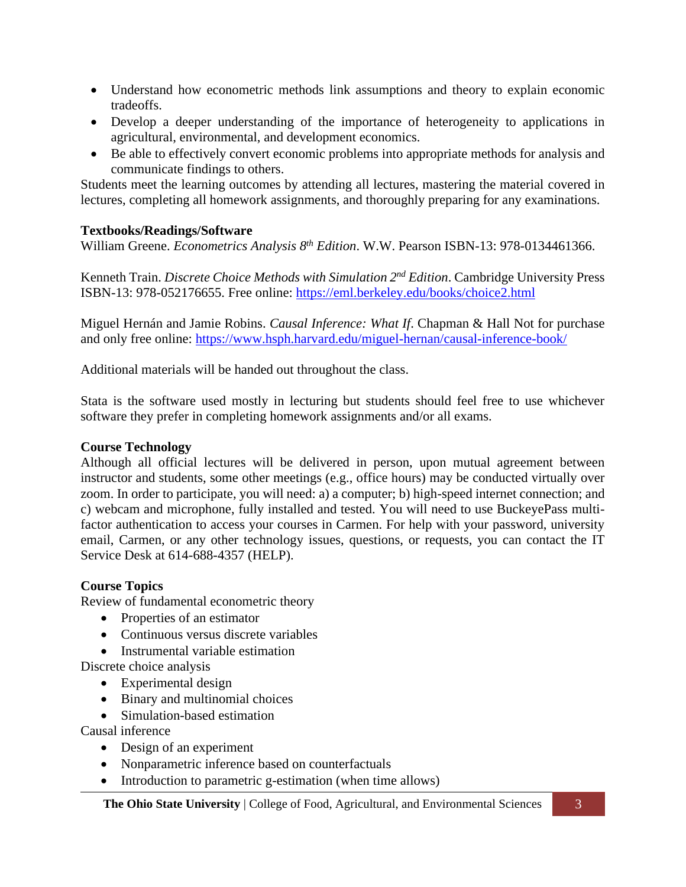- Understand how econometric methods link assumptions and theory to explain economic tradeoffs.
- Develop a deeper understanding of the importance of heterogeneity to applications in agricultural, environmental, and development economics.
- Be able to effectively convert economic problems into appropriate methods for analysis and communicate findings to others.

Students meet the learning outcomes by attending all lectures, mastering the material covered in lectures, completing all homework assignments, and thoroughly preparing for any examinations.

# **Textbooks/Readings/Software**

William Greene. *Econometrics Analysis 8 th Edition*. W.W. Pearson ISBN-13: 978-0134461366.

Kenneth Train. *Discrete Choice Methods with Simulation 2nd Edition*. Cambridge University Press ISBN-13: 978-052176655. Free online:<https://eml.berkeley.edu/books/choice2.html>

Miguel Hernán and Jamie Robins. *Causal Inference: What If*. Chapman & Hall Not for purchase and only free online:<https://www.hsph.harvard.edu/miguel-hernan/causal-inference-book/>

Additional materials will be handed out throughout the class.

Stata is the software used mostly in lecturing but students should feel free to use whichever software they prefer in completing homework assignments and/or all exams.

### **Course Technology**

Although all official lectures will be delivered in person, upon mutual agreement between instructor and students, some other meetings (e.g., office hours) may be conducted virtually over zoom. In order to participate, you will need: a) a computer; b) high-speed internet connection; and c) webcam and microphone, fully installed and tested. You will need to use BuckeyePass multifactor authentication to access your courses in Carmen. For help with your password, university email, Carmen, or any other technology issues, questions, or requests, you can contact the IT Service Desk at 614-688-4357 (HELP).

# **Course Topics**

Review of fundamental econometric theory

- Properties of an estimator
- Continuous versus discrete variables
- Instrumental variable estimation

Discrete choice analysis

- Experimental design
- Binary and multinomial choices
- Simulation-based estimation

Causal inference

- Design of an experiment
- Nonparametric inference based on counterfactuals
- Introduction to parametric g-estimation (when time allows)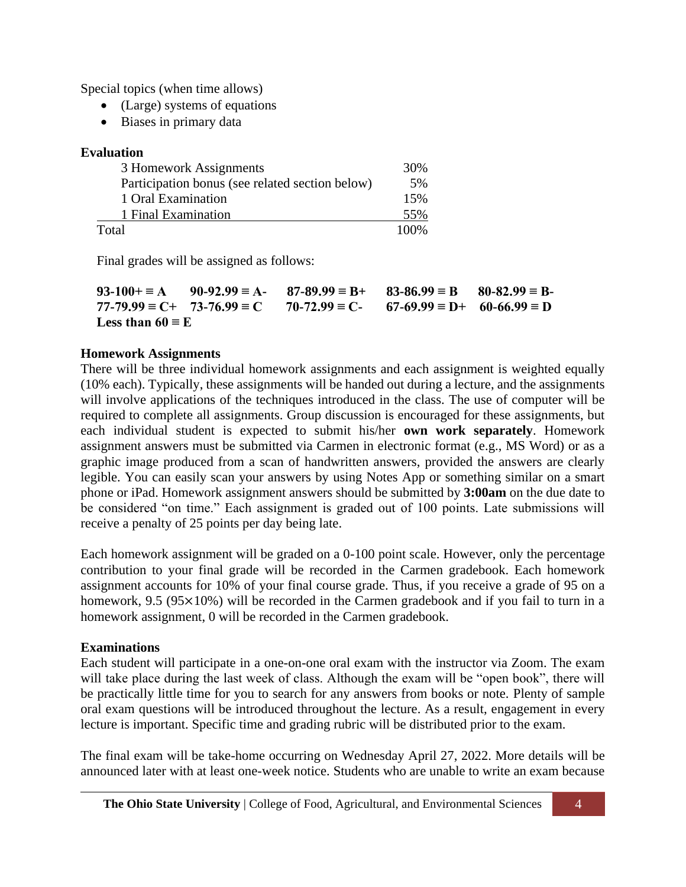Special topics (when time allows)

- (Large) systems of equations
- Biases in primary data

# **Evaluation**

| 3 Homework Assignments                          | 30%  |
|-------------------------------------------------|------|
| Participation bonus (see related section below) | 5%   |
| 1 Oral Examination                              | 15%  |
| 1 Final Examination                             | 55%  |
| Total                                           | 100% |

Final grades will be assigned as follows:

|                         | $93-100 + \equiv A$ $90-92.99 = A - 87-89.99 = B + 83-86.99 = B$ $80-82.99 = B -$                   |  |
|-------------------------|-----------------------------------------------------------------------------------------------------|--|
|                         | $77-79.99 \equiv C + 73-76.99 \equiv C$ $70-72.99 \equiv C - 67-69.99 \equiv D + 60-66.99 \equiv D$ |  |
| Less than $60 \equiv E$ |                                                                                                     |  |

# **Homework Assignments**

There will be three individual homework assignments and each assignment is weighted equally (10% each). Typically, these assignments will be handed out during a lecture, and the assignments will involve applications of the techniques introduced in the class. The use of computer will be required to complete all assignments. Group discussion is encouraged for these assignments, but each individual student is expected to submit his/her **own work separately**. Homework assignment answers must be submitted via Carmen in electronic format (e.g., MS Word) or as a graphic image produced from a scan of handwritten answers, provided the answers are clearly legible. You can easily scan your answers by using Notes App or something similar on a smart phone or iPad. Homework assignment answers should be submitted by **3:00am** on the due date to be considered "on time." Each assignment is graded out of 100 points. Late submissions will receive a penalty of 25 points per day being late.

Each homework assignment will be graded on a 0-100 point scale. However, only the percentage contribution to your final grade will be recorded in the Carmen gradebook. Each homework assignment accounts for 10% of your final course grade. Thus, if you receive a grade of 95 on a homework, 9.5 ( $95 \times 10\%$ ) will be recorded in the Carmen gradebook and if you fail to turn in a homework assignment, 0 will be recorded in the Carmen gradebook.

# **Examinations**

Each student will participate in a one-on-one oral exam with the instructor via Zoom. The exam will take place during the last week of class. Although the exam will be "open book", there will be practically little time for you to search for any answers from books or note. Plenty of sample oral exam questions will be introduced throughout the lecture. As a result, engagement in every lecture is important. Specific time and grading rubric will be distributed prior to the exam.

The final exam will be take-home occurring on Wednesday April 27, 2022. More details will be announced later with at least one-week notice. Students who are unable to write an exam because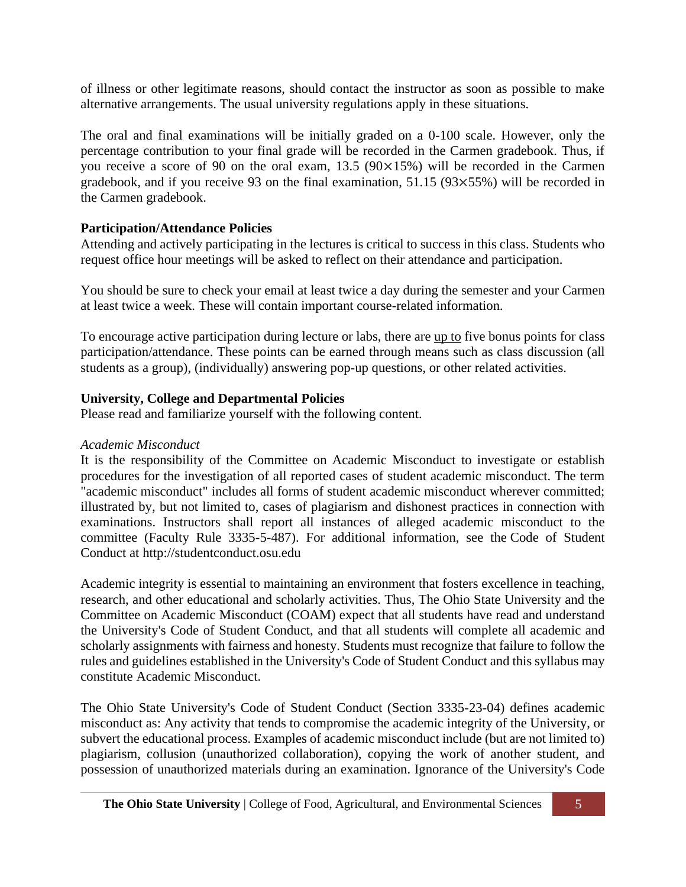of illness or other legitimate reasons, should contact the instructor as soon as possible to make alternative arrangements. The usual university regulations apply in these situations.

The oral and final examinations will be initially graded on a 0-100 scale. However, only the percentage contribution to your final grade will be recorded in the Carmen gradebook. Thus, if you receive a score of 90 on the oral exam, 13.5 (90×15%) will be recorded in the Carmen gradebook, and if you receive 93 on the final examination, 51.15 (93×55%) will be recorded in the Carmen gradebook.

# **Participation/Attendance Policies**

Attending and actively participating in the lectures is critical to success in this class. Students who request office hour meetings will be asked to reflect on their attendance and participation.

You should be sure to check your email at least twice a day during the semester and your Carmen at least twice a week. These will contain important course-related information.

To encourage active participation during lecture or labs, there are up to five bonus points for class participation/attendance. These points can be earned through means such as class discussion (all students as a group), (individually) answering pop-up questions, or other related activities.

# **University, College and Departmental Policies**

Please read and familiarize yourself with the following content.

#### *Academic Misconduct*

It is the responsibility of the Committee on Academic Misconduct to investigate or establish procedures for the investigation of all reported cases of student academic misconduct. The term "academic misconduct" includes all forms of student academic misconduct wherever committed; illustrated by, but not limited to, cases of plagiarism and dishonest practices in connection with examinations. Instructors shall report all instances of alleged academic misconduct to the committee (Faculty Rule 3335-5-487). For additional information, see the Code of Student Conduct at http://studentconduct.osu.edu

Academic integrity is essential to maintaining an environment that fosters excellence in teaching, research, and other educational and scholarly activities. Thus, The Ohio State University and the Committee on Academic Misconduct (COAM) expect that all students have read and understand the University's Code of Student Conduct, and that all students will complete all academic and scholarly assignments with fairness and honesty. Students must recognize that failure to follow the rules and guidelines established in the University's Code of Student Conduct and this syllabus may constitute Academic Misconduct.

The Ohio State University's Code of Student Conduct (Section 3335-23-04) defines academic misconduct as: Any activity that tends to compromise the academic integrity of the University, or subvert the educational process. Examples of academic misconduct include (but are not limited to) plagiarism, collusion (unauthorized collaboration), copying the work of another student, and possession of unauthorized materials during an examination. Ignorance of the University's Code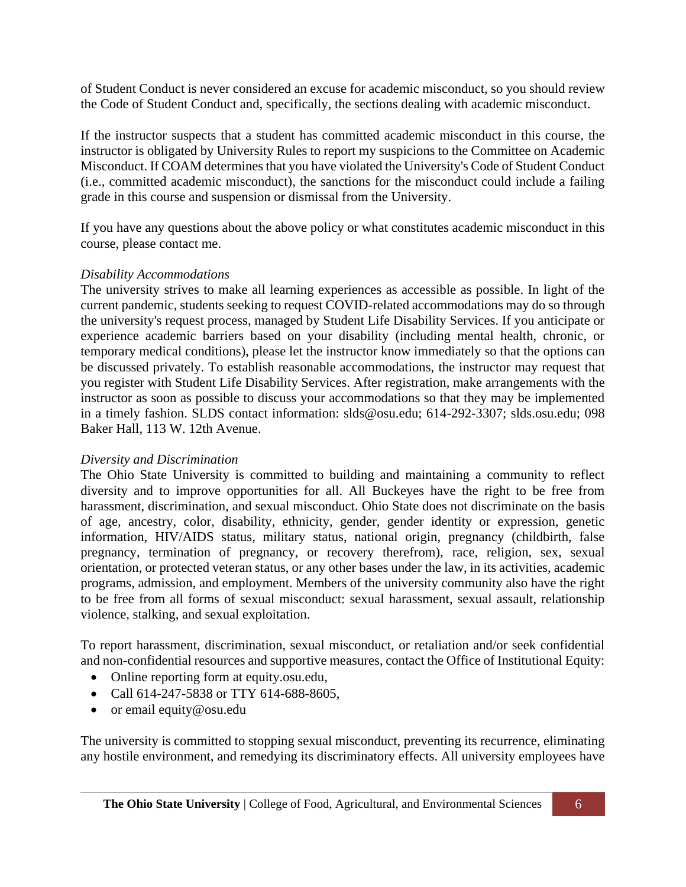of Student Conduct is never considered an excuse for academic misconduct, so you should review the Code of Student Conduct and, specifically, the sections dealing with academic misconduct.

If the instructor suspects that a student has committed academic misconduct in this course, the instructor is obligated by University Rules to report my suspicions to the Committee on Academic Misconduct. If COAM determines that you have violated the University's Code of Student Conduct (i.e., committed academic misconduct), the sanctions for the misconduct could include a failing grade in this course and suspension or dismissal from the University.

If you have any questions about the above policy or what constitutes academic misconduct in this course, please contact me.

### *Disability Accommodations*

The university strives to make all learning experiences as accessible as possible. In light of the current pandemic, students seeking to request COVID-related accommodations may do so through the university's request process, managed by Student Life Disability Services. If you anticipate or experience academic barriers based on your disability (including mental health, chronic, or temporary medical conditions), please let the instructor know immediately so that the options can be discussed privately. To establish reasonable accommodations, the instructor may request that you register with Student Life Disability Services. After registration, make arrangements with the instructor as soon as possible to discuss your accommodations so that they may be implemented in a timely fashion. SLDS contact information: slds@osu.edu; 614-292-3307; slds.osu.edu; 098 Baker Hall, 113 W. 12th Avenue.

#### *Diversity and Discrimination*

The Ohio State University is committed to building and maintaining a community to reflect diversity and to improve opportunities for all. All Buckeyes have the right to be free from harassment, discrimination, and sexual misconduct. Ohio State does not discriminate on the basis of age, ancestry, color, disability, ethnicity, gender, gender identity or expression, genetic information, HIV/AIDS status, military status, national origin, pregnancy (childbirth, false pregnancy, termination of pregnancy, or recovery therefrom), race, religion, sex, sexual orientation, or protected veteran status, or any other bases under the law, in its activities, academic programs, admission, and employment. Members of the university community also have the right to be free from all forms of sexual misconduct: sexual harassment, sexual assault, relationship violence, stalking, and sexual exploitation.

To report harassment, discrimination, sexual misconduct, or retaliation and/or seek confidential and non-confidential resources and supportive measures, contact the Office of Institutional Equity:

- Online reporting form at equity.osu.edu,
- Call 614-247-5838 or TTY 614-688-8605,
- or email equity@osu.edu

The university is committed to stopping sexual misconduct, preventing its recurrence, eliminating any hostile environment, and remedying its discriminatory effects. All university employees have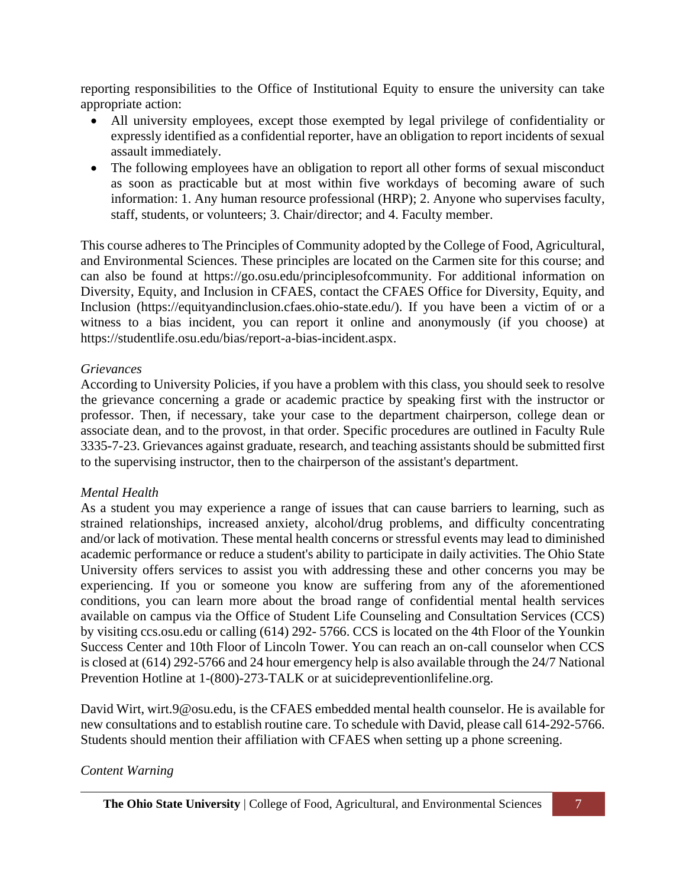reporting responsibilities to the Office of Institutional Equity to ensure the university can take appropriate action:

- All university employees, except those exempted by legal privilege of confidentiality or expressly identified as a confidential reporter, have an obligation to report incidents of sexual assault immediately.
- The following employees have an obligation to report all other forms of sexual misconduct as soon as practicable but at most within five workdays of becoming aware of such information: 1. Any human resource professional (HRP); 2. Anyone who supervises faculty, staff, students, or volunteers; 3. Chair/director; and 4. Faculty member.

This course adheres to The Principles of Community adopted by the College of Food, Agricultural, and Environmental Sciences. These principles are located on the Carmen site for this course; and can also be found at https://go.osu.edu/principlesofcommunity. For additional information on Diversity, Equity, and Inclusion in CFAES, contact the CFAES Office for Diversity, Equity, and Inclusion (https://equityandinclusion.cfaes.ohio-state.edu/). If you have been a victim of or a witness to a bias incident, you can report it online and anonymously (if you choose) at https://studentlife.osu.edu/bias/report-a-bias-incident.aspx.

### *Grievances*

According to University Policies, if you have a problem with this class, you should seek to resolve the grievance concerning a grade or academic practice by speaking first with the instructor or professor. Then, if necessary, take your case to the department chairperson, college dean or associate dean, and to the provost, in that order. Specific procedures are outlined in Faculty Rule 3335-7-23. Grievances against graduate, research, and teaching assistants should be submitted first to the supervising instructor, then to the chairperson of the assistant's department.

#### *Mental Health*

As a student you may experience a range of issues that can cause barriers to learning, such as strained relationships, increased anxiety, alcohol/drug problems, and difficulty concentrating and/or lack of motivation. These mental health concerns or stressful events may lead to diminished academic performance or reduce a student's ability to participate in daily activities. The Ohio State University offers services to assist you with addressing these and other concerns you may be experiencing. If you or someone you know are suffering from any of the aforementioned conditions, you can learn more about the broad range of confidential mental health services available on campus via the Office of Student Life Counseling and Consultation Services (CCS) by visiting ccs.osu.edu or calling (614) 292- 5766. CCS is located on the 4th Floor of the Younkin Success Center and 10th Floor of Lincoln Tower. You can reach an on-call counselor when CCS is closed at (614) 292-5766 and 24 hour emergency help is also available through the 24/7 National Prevention Hotline at 1-(800)-273-TALK or at suicidepreventionlifeline.org.

David Wirt, wirt.9@osu.edu, is the CFAES embedded mental health counselor. He is available for new consultations and to establish routine care. To schedule with David, please call 614-292-5766. Students should mention their affiliation with CFAES when setting up a phone screening.

# *Content Warning*